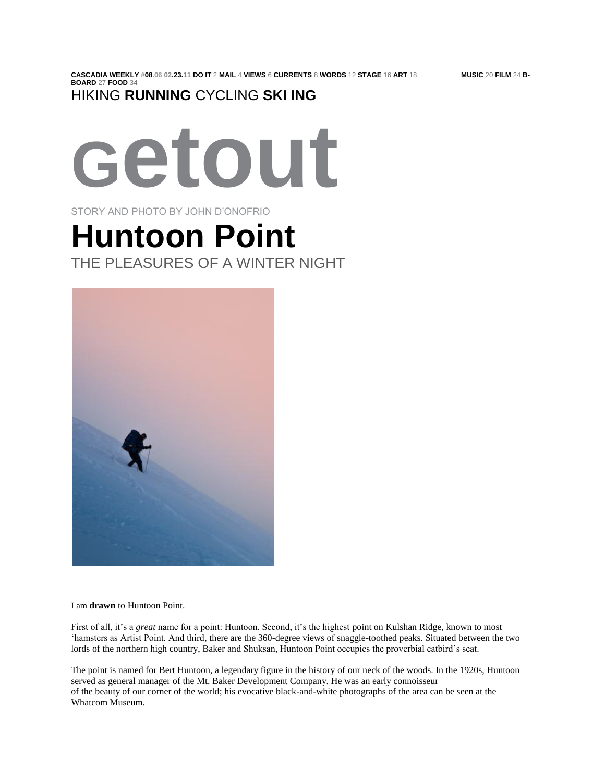## HIKING **RUNNING** CYCLING **SKI ING**



STORY AND PHOTO BY JOHN D'ONOFRIO

## **Huntoon Point** THE PLEASURES OF A WINTER NIGHT



I am **drawn** to Huntoon Point.

First of all, it's a *great* name for a point: Huntoon. Second, it's the highest point on Kulshan Ridge, known to most 'hamsters as Artist Point. And third, there are the 360-degree views of snaggle-toothed peaks. Situated between the two lords of the northern high country, Baker and Shuksan, Huntoon Point occupies the proverbial catbird's seat.

The point is named for Bert Huntoon, a legendary figure in the history of our neck of the woods. In the 1920s, Huntoon served as general manager of the Mt. Baker Development Company. He was an early connoisseur of the beauty of our corner of the world; his evocative black-and-white photographs of the area can be seen at the Whatcom Museum.